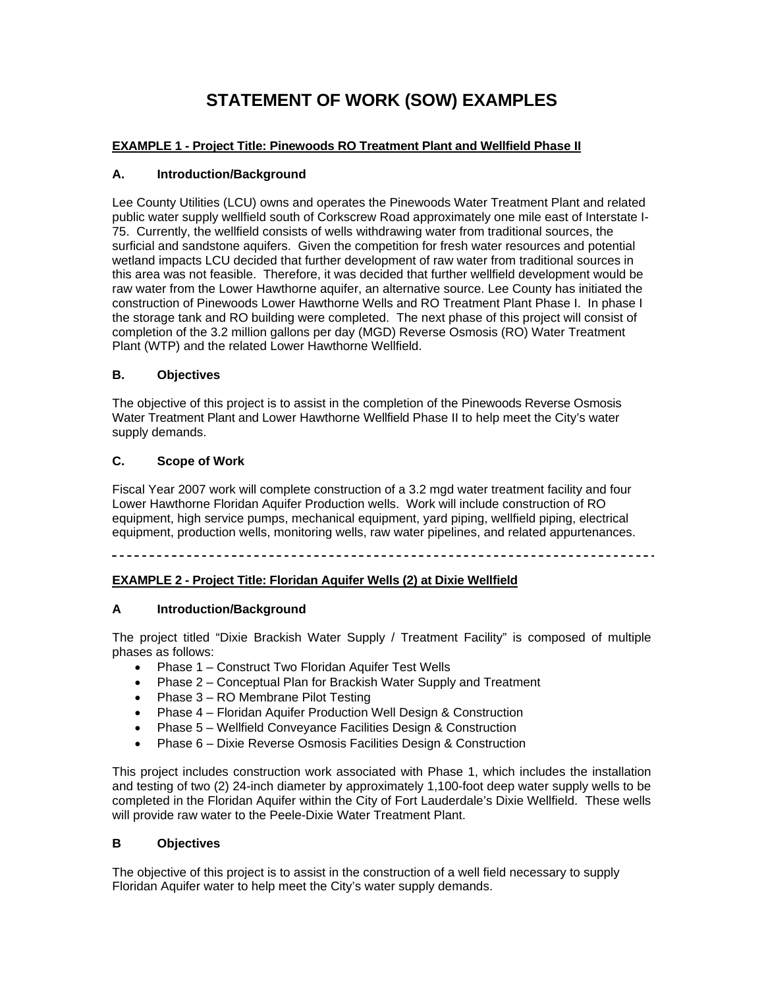# **STATEMENT OF WORK (SOW) EXAMPLES**

## **EXAMPLE 1 - Project Title: Pinewoods RO Treatment Plant and Wellfield Phase II**

## **A. Introduction/Background**

Lee County Utilities (LCU) owns and operates the Pinewoods Water Treatment Plant and related public water supply wellfield south of Corkscrew Road approximately one mile east of Interstate I-75. Currently, the wellfield consists of wells withdrawing water from traditional sources, the surficial and sandstone aquifers. Given the competition for fresh water resources and potential wetland impacts LCU decided that further development of raw water from traditional sources in this area was not feasible. Therefore, it was decided that further wellfield development would be raw water from the Lower Hawthorne aquifer, an alternative source. Lee County has initiated the construction of Pinewoods Lower Hawthorne Wells and RO Treatment Plant Phase I. In phase I the storage tank and RO building were completed. The next phase of this project will consist of completion of the 3.2 million gallons per day (MGD) Reverse Osmosis (RO) Water Treatment Plant (WTP) and the related Lower Hawthorne Wellfield.

#### **B. Objectives**

The objective of this project is to assist in the completion of the Pinewoods Reverse Osmosis Water Treatment Plant and Lower Hawthorne Wellfield Phase II to help meet the City's water supply demands.

#### **C. Scope of Work**

Fiscal Year 2007 work will complete construction of a 3.2 mgd water treatment facility and four Lower Hawthorne Floridan Aquifer Production wells. Work will include construction of RO equipment, high service pumps, mechanical equipment, yard piping, wellfield piping, electrical equipment, production wells, monitoring wells, raw water pipelines, and related appurtenances.

## **EXAMPLE 2 - Project Title: Floridan Aquifer Wells (2) at Dixie Wellfield**

## **A Introduction/Background**

The project titled "Dixie Brackish Water Supply / Treatment Facility" is composed of multiple phases as follows:

- Phase 1 Construct Two Floridan Aquifer Test Wells
- Phase 2 Conceptual Plan for Brackish Water Supply and Treatment
- Phase 3 RO Membrane Pilot Testing
- Phase 4 Floridan Aquifer Production Well Design & Construction
- Phase 5 Wellfield Conveyance Facilities Design & Construction
- Phase 6 Dixie Reverse Osmosis Facilities Design & Construction

This project includes construction work associated with Phase 1, which includes the installation and testing of two (2) 24-inch diameter by approximately 1,100-foot deep water supply wells to be completed in the Floridan Aquifer within the City of Fort Lauderdale's Dixie Wellfield. These wells will provide raw water to the Peele-Dixie Water Treatment Plant.

### **B Objectives**

The objective of this project is to assist in the construction of a well field necessary to supply Floridan Aquifer water to help meet the City's water supply demands.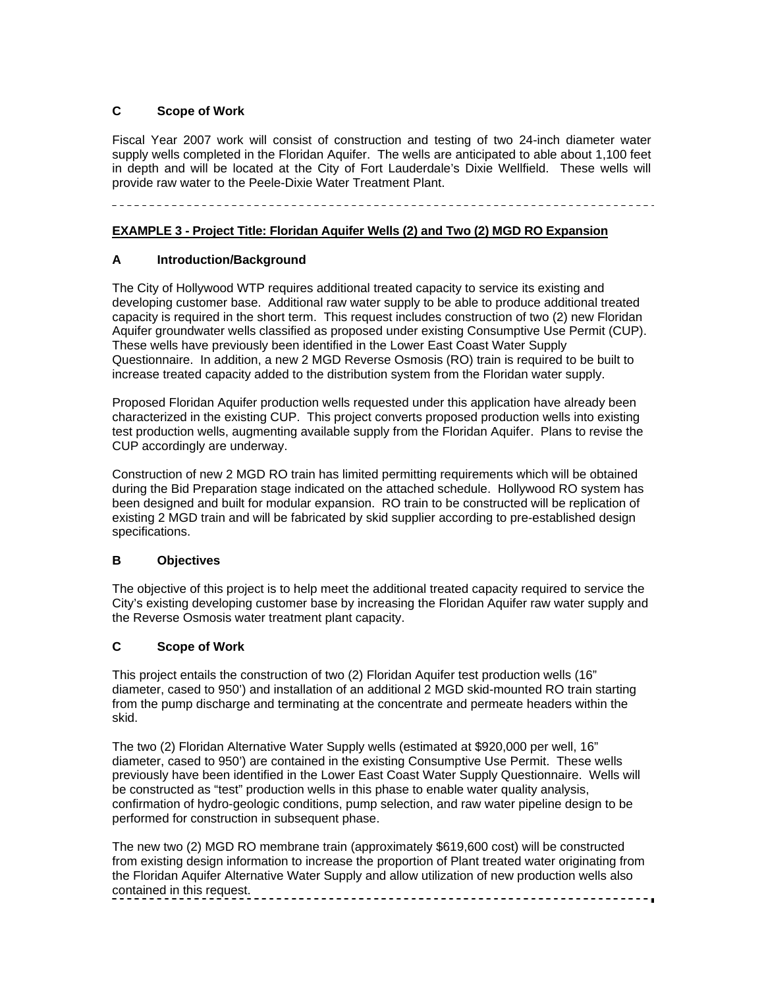## **C Scope of Work**

Fiscal Year 2007 work will consist of construction and testing of two 24-inch diameter water supply wells completed in the Floridan Aquifer. The wells are anticipated to able about 1,100 feet in depth and will be located at the City of Fort Lauderdale's Dixie Wellfield. These wells will provide raw water to the Peele-Dixie Water Treatment Plant.

## **EXAMPLE 3 - Project Title: Floridan Aquifer Wells (2) and Two (2) MGD RO Expansion**

## **A Introduction/Background**

The City of Hollywood WTP requires additional treated capacity to service its existing and developing customer base. Additional raw water supply to be able to produce additional treated capacity is required in the short term. This request includes construction of two (2) new Floridan Aquifer groundwater wells classified as proposed under existing Consumptive Use Permit (CUP). These wells have previously been identified in the Lower East Coast Water Supply Questionnaire. In addition, a new 2 MGD Reverse Osmosis (RO) train is required to be built to increase treated capacity added to the distribution system from the Floridan water supply.

Proposed Floridan Aquifer production wells requested under this application have already been characterized in the existing CUP. This project converts proposed production wells into existing test production wells, augmenting available supply from the Floridan Aquifer. Plans to revise the CUP accordingly are underway.

Construction of new 2 MGD RO train has limited permitting requirements which will be obtained during the Bid Preparation stage indicated on the attached schedule. Hollywood RO system has been designed and built for modular expansion. RO train to be constructed will be replication of existing 2 MGD train and will be fabricated by skid supplier according to pre-established design specifications.

#### **B Objectives**

The objective of this project is to help meet the additional treated capacity required to service the City's existing developing customer base by increasing the Floridan Aquifer raw water supply and the Reverse Osmosis water treatment plant capacity.

## **C Scope of Work**

This project entails the construction of two (2) Floridan Aquifer test production wells (16" diameter, cased to 950') and installation of an additional 2 MGD skid-mounted RO train starting from the pump discharge and terminating at the concentrate and permeate headers within the skid.

The two (2) Floridan Alternative Water Supply wells (estimated at \$920,000 per well, 16" diameter, cased to 950') are contained in the existing Consumptive Use Permit. These wells previously have been identified in the Lower East Coast Water Supply Questionnaire. Wells will be constructed as "test" production wells in this phase to enable water quality analysis, confirmation of hydro-geologic conditions, pump selection, and raw water pipeline design to be performed for construction in subsequent phase.

The new two (2) MGD RO membrane train (approximately \$619,600 cost) will be constructed from existing design information to increase the proportion of Plant treated water originating from the Floridan Aquifer Alternative Water Supply and allow utilization of new production wells also contained in this request.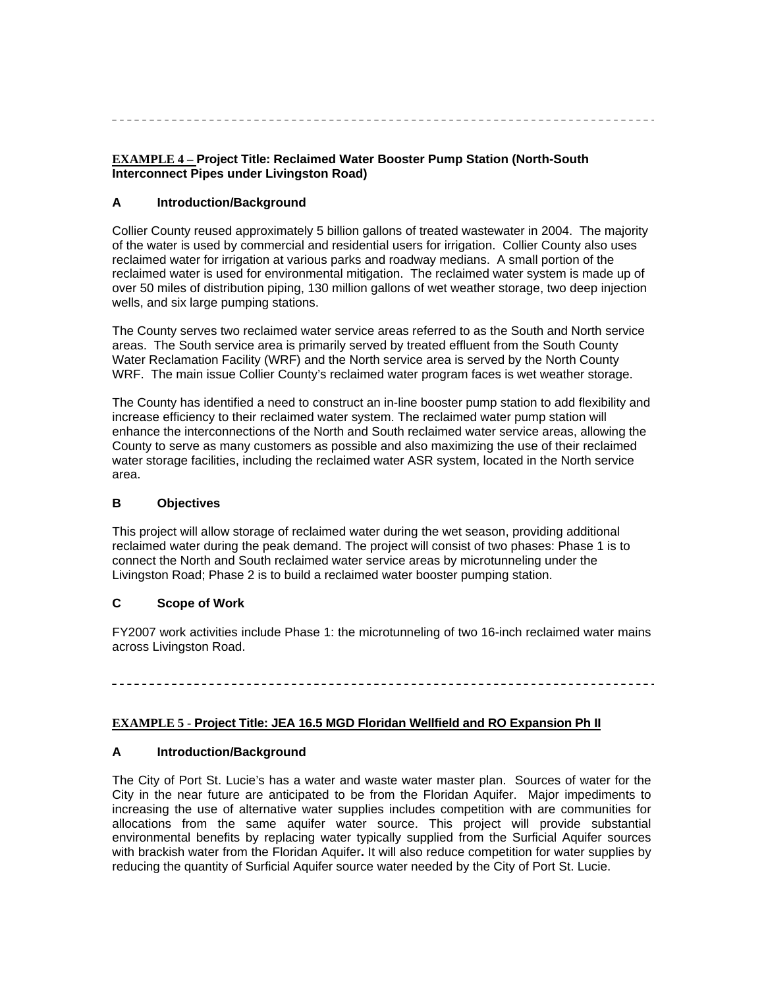## **EXAMPLE 4 – Project Title: Reclaimed Water Booster Pump Station (North-South Interconnect Pipes under Livingston Road)**

#### **A Introduction/Background**

Collier County reused approximately 5 billion gallons of treated wastewater in 2004. The majority of the water is used by commercial and residential users for irrigation. Collier County also uses reclaimed water for irrigation at various parks and roadway medians. A small portion of the reclaimed water is used for environmental mitigation. The reclaimed water system is made up of over 50 miles of distribution piping, 130 million gallons of wet weather storage, two deep injection wells, and six large pumping stations.

The County serves two reclaimed water service areas referred to as the South and North service areas. The South service area is primarily served by treated effluent from the South County Water Reclamation Facility (WRF) and the North service area is served by the North County WRF. The main issue Collier County's reclaimed water program faces is wet weather storage.

The County has identified a need to construct an in-line booster pump station to add flexibility and increase efficiency to their reclaimed water system. The reclaimed water pump station will enhance the interconnections of the North and South reclaimed water service areas, allowing the County to serve as many customers as possible and also maximizing the use of their reclaimed water storage facilities, including the reclaimed water ASR system, located in the North service area.

#### **B Objectives**

This project will allow storage of reclaimed water during the wet season, providing additional reclaimed water during the peak demand. The project will consist of two phases: Phase 1 is to connect the North and South reclaimed water service areas by microtunneling under the Livingston Road; Phase 2 is to build a reclaimed water booster pumping station.

## **C Scope of Work**

FY2007 work activities include Phase 1: the microtunneling of two 16-inch reclaimed water mains across Livingston Road.

## **EXAMPLE 5 - Project Title: JEA 16.5 MGD Floridan Wellfield and RO Expansion Ph II**

## **A Introduction/Background**

The City of Port St. Lucie's has a water and waste water master plan. Sources of water for the City in the near future are anticipated to be from the Floridan Aquifer. Major impediments to increasing the use of alternative water supplies includes competition with are communities for allocations from the same aquifer water source. This project will provide substantial environmental benefits by replacing water typically supplied from the Surficial Aquifer sources with brackish water from the Floridan Aquifer**.** It will also reduce competition for water supplies by reducing the quantity of Surficial Aquifer source water needed by the City of Port St. Lucie.